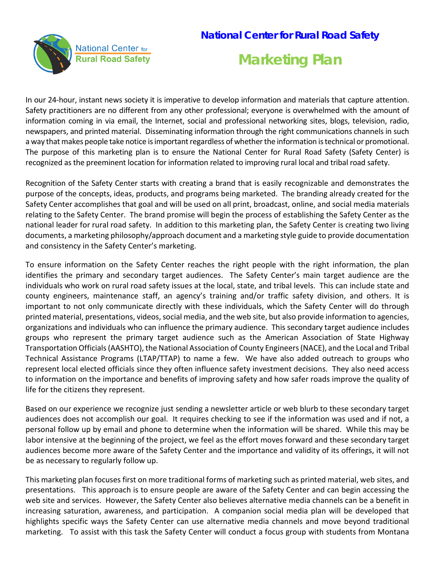## **National Center for Rural Road Safety**



# **Marketing Plan**

In our 24-hour, instant news society it is imperative to develop information and materials that capture attention. Safety practitioners are no different from any other professional; everyone is overwhelmed with the amount of information coming in via email, the Internet, social and professional networking sites, blogs, television, radio, newspapers, and printed material. Disseminating information through the right communications channels in such a way that makes people take notice is important regardless of whether the information is technical or promotional. The purpose of this marketing plan is to ensure the National Center for Rural Road Safety (Safety Center) is recognized as the preeminent location for information related to improving rural local and tribal road safety.

Recognition of the Safety Center starts with creating a brand that is easily recognizable and demonstrates the purpose of the concepts, ideas, products, and programs being marketed. The branding already created for the Safety Center accomplishes that goal and will be used on all print, broadcast, online, and social media materials relating to the Safety Center. The brand promise will begin the process of establishing the Safety Center as the national leader for rural road safety. In addition to this marketing plan, the Safety Center is creating two living documents, a marketing philosophy/approach document and a marketing style guide to provide documentation and consistency in the Safety Center's marketing.

To ensure information on the Safety Center reaches the right people with the right information, the plan identifies the primary and secondary target audiences. The Safety Center's main target audience are the individuals who work on rural road safety issues at the local, state, and tribal levels. This can include state and county engineers, maintenance staff, an agency's training and/or traffic safety division, and others. It is important to not only communicate directly with these individuals, which the Safety Center will do through printed material, presentations, videos, social media, and the web site, but also provide information to agencies, organizations and individuals who can influence the primary audience. This secondary target audience includes groups who represent the primary target audience such as the American Association of State Highway Transportation Officials (AASHTO), the National Association of County Engineers (NACE), and the Local and Tribal Technical Assistance Programs (LTAP/TTAP) to name a few. We have also added outreach to groups who represent local elected officials since they often influence safety investment decisions. They also need access to information on the importance and benefits of improving safety and how safer roads improve the quality of life for the citizens they represent.

Based on our experience we recognize just sending a newsletter article or web blurb to these secondary target audiences does not accomplish our goal. It requires checking to see if the information was used and if not, a personal follow up by email and phone to determine when the information will be shared. While this may be labor intensive at the beginning of the project, we feel as the effort moves forward and these secondary target audiences become more aware of the Safety Center and the importance and validity of its offerings, it will not be as necessary to regularly follow up.

This marketing plan focuses first on more traditional forms of marketing such as printed material, web sites, and presentations. This approach is to ensure people are aware of the Safety Center and can begin accessing the web site and services. However, the Safety Center also believes alternative media channels can be a benefit in increasing saturation, awareness, and participation. A companion social media plan will be developed that highlights specific ways the Safety Center can use alternative media channels and move beyond traditional marketing. To assist with this task the Safety Center will conduct a focus group with students from Montana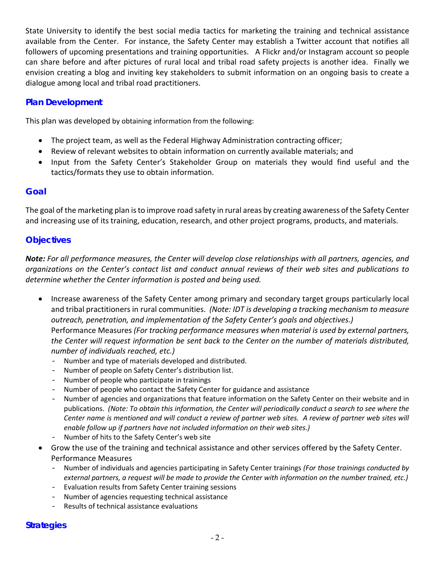State University to identify the best social media tactics for marketing the training and technical assistance available from the Center. For instance, the Safety Center may establish a Twitter account that notifies all followers of upcoming presentations and training opportunities. A Flickr and/or Instagram account so people can share before and after pictures of rural local and tribal road safety projects is another idea. Finally we envision creating a blog and inviting key stakeholders to submit information on an ongoing basis to create a dialogue among local and tribal road practitioners.

#### **Plan Development**

This plan was developed by obtaining information from the following:

- The project team, as well as the Federal Highway Administration contracting officer;
- Review of relevant websites to obtain information on currently available materials; and
- Input from the Safety Center's Stakeholder Group on materials they would find useful and the tactics/formats they use to obtain information.

#### **Goal**

The goal of the marketing plan is to improve road safety in rural areas by creating awareness of the Safety Center and increasing use of its training, education, research, and other project programs, products, and materials.

#### **Objectives**

*Note: For all performance measures, the Center will develop close relationships with all partners, agencies, and organizations on the Center's contact list and conduct annual reviews of their web sites and publications to determine whether the Center information is posted and being used.* 

- Increase awareness of the Safety Center among primary and secondary target groups particularly local and tribal practitioners in rural communities. *(Note: IDT is developing a tracking mechanism to measure outreach, penetration, and implementation of the Safety Center's goals and objectives.)* Performance Measures *(For tracking performance measures when material is used by external partners, the Center will request information be sent back to the Center on the number of materials distributed, number of individuals reached, etc.)*
	- Number and type of materials developed and distributed.
	- Number of people on Safety Center's distribution list.
	- Number of people who participate in trainings
	- Number of people who contact the Safety Center for guidance and assistance
	- Number of agencies and organizations that feature information on the Safety Center on their website and in publications. *(Note: To obtain this information, the Center will periodically conduct a search to see where the Center name is mentioned and will conduct a review of partner web sites. A review of partner web sites will enable follow up if partners have not included information on their web sites.)*
	- Number of hits to the Safety Center's web site
- Grow the use of the training and technical assistance and other services offered by the Safety Center. Performance Measures
	- Number of individuals and agencies participating in Safety Center trainings *(For those trainings conducted by external partners, a request will be made to provide the Center with information on the number trained, etc.)*
	- Evaluation results from Safety Center training sessions
	- Number of agencies requesting technical assistance
	- Results of technical assistance evaluations

#### **Strategies**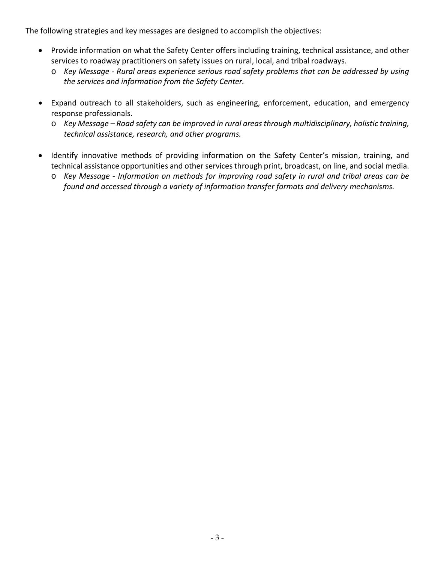The following strategies and key messages are designed to accomplish the objectives:

- Provide information on what the Safety Center offers including training, technical assistance, and other services to roadway practitioners on safety issues on rural, local, and tribal roadways.
	- o *Key Message - Rural areas experience serious road safety problems that can be addressed by using the services and information from the Safety Center.*
- Expand outreach to all stakeholders, such as engineering, enforcement, education, and emergency response professionals.
	- o *Key Message – Road safety can be improved in rural areas through multidisciplinary, holistic training, technical assistance, research, and other programs.*
- Identify innovative methods of providing information on the Safety Center's mission, training, and technical assistance opportunities and other services through print, broadcast, on line, and social media.
	- o *Key Message - Information on methods for improving road safety in rural and tribal areas can be found and accessed through a variety of information transfer formats and delivery mechanisms.*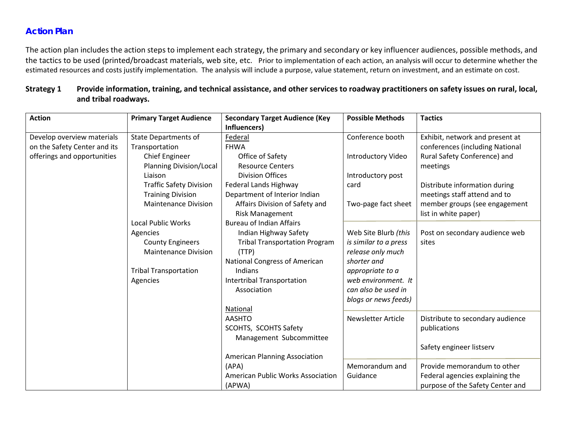### **Action Plan**

The action plan includes the action steps to implement each strategy, the primary and secondary or key influencer audiences, possible methods, and the tactics to be used (printed/broadcast materials, web site, etc. Prior to implementation of each action, an analysis will occur to determine whether the estimated resources and costs justify implementation. The analysis will include a purpose, value statement, return on investment, and an estimate on cost.

#### **Strategy 1 Provide information, training, and technical assistance, and other services to roadway practitioners on safety issues on rural, local, and tribal roadways.**

| <b>Action</b>                | <b>Primary Target Audience</b> | <b>Secondary Target Audience (Key</b>                    | <b>Possible Methods</b>   | <b>Tactics</b>                                        |
|------------------------------|--------------------------------|----------------------------------------------------------|---------------------------|-------------------------------------------------------|
|                              |                                | Influencers)                                             |                           |                                                       |
| Develop overview materials   | <b>State Departments of</b>    | Federal                                                  | Conference booth          | Exhibit, network and present at                       |
| on the Safety Center and its | Transportation                 | <b>FHWA</b>                                              |                           | conferences (including National                       |
| offerings and opportunities  | <b>Chief Engineer</b>          | Office of Safety                                         | <b>Introductory Video</b> | Rural Safety Conference) and                          |
|                              | <b>Planning Division/Local</b> | <b>Resource Centers</b>                                  |                           | meetings                                              |
|                              | Liaison                        | <b>Division Offices</b>                                  | Introductory post         |                                                       |
|                              | <b>Traffic Safety Division</b> | Federal Lands Highway                                    | card                      | Distribute information during                         |
|                              | <b>Training Division</b>       | Department of Interior Indian                            |                           | meetings staff attend and to                          |
|                              | <b>Maintenance Division</b>    | Affairs Division of Safety and<br><b>Risk Management</b> | Two-page fact sheet       | member groups (see engagement<br>list in white paper) |
|                              | <b>Local Public Works</b>      | <b>Bureau of Indian Affairs</b>                          |                           |                                                       |
|                              | Agencies                       | Indian Highway Safety                                    | Web Site Blurb (this      | Post on secondary audience web                        |
|                              | <b>County Engineers</b>        | <b>Tribal Transportation Program</b>                     | is similar to a press     | sites                                                 |
|                              | <b>Maintenance Division</b>    | (TTP)                                                    | release only much         |                                                       |
|                              |                                | National Congress of American                            | shorter and               |                                                       |
|                              | <b>Tribal Transportation</b>   | Indians                                                  | appropriate to a          |                                                       |
|                              | Agencies                       | Intertribal Transportation                               | web environment. It       |                                                       |
|                              |                                | Association                                              | can also be used in       |                                                       |
|                              |                                |                                                          | blogs or news feeds)      |                                                       |
|                              |                                | National                                                 |                           |                                                       |
|                              |                                | <b>AASHTO</b>                                            | <b>Newsletter Article</b> | Distribute to secondary audience                      |
|                              |                                | SCOHTS, SCOHTS Safety                                    |                           | publications                                          |
|                              |                                | Management Subcommittee                                  |                           |                                                       |
|                              |                                |                                                          |                           | Safety engineer listserv                              |
|                              |                                | <b>American Planning Association</b>                     |                           |                                                       |
|                              |                                | (APA)                                                    | Memorandum and            | Provide memorandum to other                           |
|                              |                                | <b>American Public Works Association</b>                 | Guidance                  | Federal agencies explaining the                       |
|                              |                                | (APWA)                                                   |                           | purpose of the Safety Center and                      |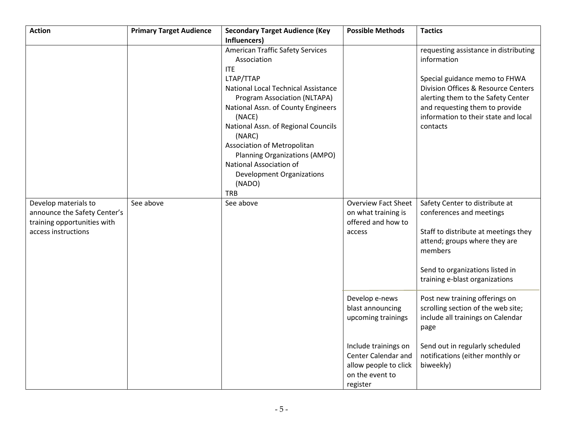| <b>Action</b>                                                                                              | <b>Primary Target Audience</b> | <b>Secondary Target Audience (Key</b>                                                                                                                                                                                                                                                                                                                                                                                     | <b>Possible Methods</b>                                                                             | <b>Tactics</b>                                                                                                                                                                                                                                           |
|------------------------------------------------------------------------------------------------------------|--------------------------------|---------------------------------------------------------------------------------------------------------------------------------------------------------------------------------------------------------------------------------------------------------------------------------------------------------------------------------------------------------------------------------------------------------------------------|-----------------------------------------------------------------------------------------------------|----------------------------------------------------------------------------------------------------------------------------------------------------------------------------------------------------------------------------------------------------------|
|                                                                                                            |                                | Influencers)<br><b>American Traffic Safety Services</b><br>Association<br><b>ITE</b><br>LTAP/TTAP<br>National Local Technical Assistance<br>Program Association (NLTAPA)<br>National Assn. of County Engineers<br>(NACE)<br>National Assn. of Regional Councils<br>(NARC)<br>Association of Metropolitan<br>Planning Organizations (AMPO)<br>National Association of<br>Development Organizations<br>(NADO)<br><b>TRB</b> |                                                                                                     | requesting assistance in distributing<br>information<br>Special guidance memo to FHWA<br>Division Offices & Resource Centers<br>alerting them to the Safety Center<br>and requesting them to provide<br>information to their state and local<br>contacts |
| Develop materials to<br>announce the Safety Center's<br>training opportunities with<br>access instructions | See above                      | See above                                                                                                                                                                                                                                                                                                                                                                                                                 | <b>Overview Fact Sheet</b><br>on what training is<br>offered and how to<br>access                   | Safety Center to distribute at<br>conferences and meetings<br>Staff to distribute at meetings they<br>attend; groups where they are<br>members<br>Send to organizations listed in<br>training e-blast organizations                                      |
|                                                                                                            |                                |                                                                                                                                                                                                                                                                                                                                                                                                                           | Develop e-news<br>blast announcing<br>upcoming trainings                                            | Post new training offerings on<br>scrolling section of the web site;<br>include all trainings on Calendar<br>page                                                                                                                                        |
|                                                                                                            |                                |                                                                                                                                                                                                                                                                                                                                                                                                                           | Include trainings on<br>Center Calendar and<br>allow people to click<br>on the event to<br>register | Send out in regularly scheduled<br>notifications (either monthly or<br>biweekly)                                                                                                                                                                         |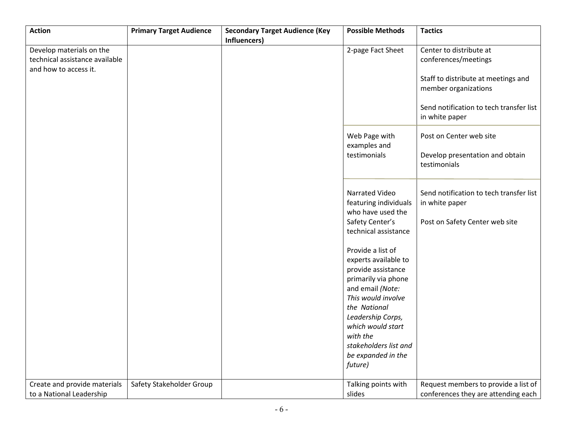| <b>Action</b>                  | <b>Primary Target Audience</b> | <b>Secondary Target Audience (Key</b> | <b>Possible Methods</b> | <b>Tactics</b>                          |
|--------------------------------|--------------------------------|---------------------------------------|-------------------------|-----------------------------------------|
|                                |                                | Influencers)                          |                         |                                         |
| Develop materials on the       |                                |                                       | 2-page Fact Sheet       | Center to distribute at                 |
| technical assistance available |                                |                                       |                         | conferences/meetings                    |
| and how to access it.          |                                |                                       |                         |                                         |
|                                |                                |                                       |                         | Staff to distribute at meetings and     |
|                                |                                |                                       |                         | member organizations                    |
|                                |                                |                                       |                         |                                         |
|                                |                                |                                       |                         | Send notification to tech transfer list |
|                                |                                |                                       |                         |                                         |
|                                |                                |                                       |                         | in white paper                          |
|                                |                                |                                       |                         |                                         |
|                                |                                |                                       | Web Page with           | Post on Center web site                 |
|                                |                                |                                       | examples and            |                                         |
|                                |                                |                                       | testimonials            | Develop presentation and obtain         |
|                                |                                |                                       |                         | testimonials                            |
|                                |                                |                                       |                         |                                         |
|                                |                                |                                       |                         |                                         |
|                                |                                |                                       | Narrated Video          | Send notification to tech transfer list |
|                                |                                |                                       | featuring individuals   | in white paper                          |
|                                |                                |                                       | who have used the       |                                         |
|                                |                                |                                       | Safety Center's         |                                         |
|                                |                                |                                       |                         | Post on Safety Center web site          |
|                                |                                |                                       | technical assistance    |                                         |
|                                |                                |                                       |                         |                                         |
|                                |                                |                                       | Provide a list of       |                                         |
|                                |                                |                                       | experts available to    |                                         |
|                                |                                |                                       | provide assistance      |                                         |
|                                |                                |                                       | primarily via phone     |                                         |
|                                |                                |                                       | and email (Note:        |                                         |
|                                |                                |                                       | This would involve      |                                         |
|                                |                                |                                       | the National            |                                         |
|                                |                                |                                       | Leadership Corps,       |                                         |
|                                |                                |                                       | which would start       |                                         |
|                                |                                |                                       | with the                |                                         |
|                                |                                |                                       |                         |                                         |
|                                |                                |                                       | stakeholders list and   |                                         |
|                                |                                |                                       | be expanded in the      |                                         |
|                                |                                |                                       | future)                 |                                         |
|                                |                                |                                       |                         |                                         |
| Create and provide materials   | Safety Stakeholder Group       |                                       | Talking points with     | Request members to provide a list of    |
| to a National Leadership       |                                |                                       | slides                  | conferences they are attending each     |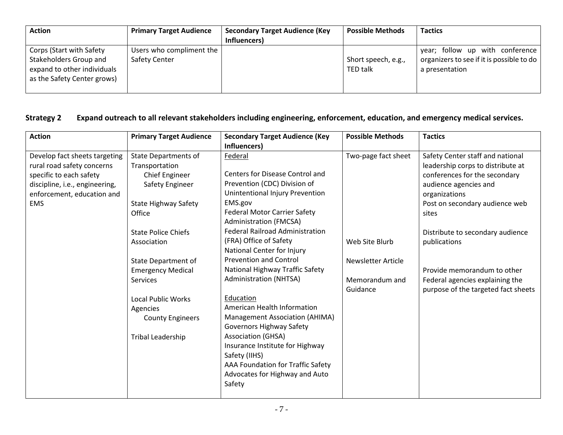| <b>Action</b>                                                                                                    | <b>Primary Target Audience</b>            | <b>Secondary Target Audience (Key</b><br>Influencers) | <b>Possible Methods</b>                | <b>Tactics</b>                                                                                 |
|------------------------------------------------------------------------------------------------------------------|-------------------------------------------|-------------------------------------------------------|----------------------------------------|------------------------------------------------------------------------------------------------|
| Corps (Start with Safety<br>Stakeholders Group and<br>expand to other individuals<br>as the Safety Center grows) | Users who compliment the<br>Safety Center |                                                       | Short speech, e.g.,<br><b>TED talk</b> | year; follow up with conference<br>organizers to see if it is possible to do<br>a presentation |

#### **Strategy 2 Expand outreach to all relevant stakeholders including engineering, enforcement, education, and emergency medical services.**

| <b>Action</b>                  | <b>Primary Target Audience</b> | <b>Secondary Target Audience (Key</b>  | <b>Possible Methods</b> | <b>Tactics</b>                      |
|--------------------------------|--------------------------------|----------------------------------------|-------------------------|-------------------------------------|
|                                |                                | Influencers)                           |                         |                                     |
| Develop fact sheets targeting  | <b>State Departments of</b>    | Federal                                | Two-page fact sheet     | Safety Center staff and national    |
| rural road safety concerns     | Transportation                 |                                        |                         | leadership corps to distribute at   |
| specific to each safety        | Chief Engineer                 | Centers for Disease Control and        |                         | conferences for the secondary       |
| discipline, i.e., engineering, | Safety Engineer                | Prevention (CDC) Division of           |                         | audience agencies and               |
| enforcement, education and     |                                | Unintentional Injury Prevention        |                         | organizations                       |
| <b>EMS</b>                     | <b>State Highway Safety</b>    | EMS.gov                                |                         | Post on secondary audience web      |
|                                | Office                         | <b>Federal Motor Carrier Safety</b>    |                         | sites                               |
|                                |                                | <b>Administration (FMCSA)</b>          |                         |                                     |
|                                | <b>State Police Chiefs</b>     | <b>Federal Railroad Administration</b> |                         | Distribute to secondary audience    |
|                                | Association                    | (FRA) Office of Safety                 | Web Site Blurb          | publications                        |
|                                |                                | National Center for Injury             |                         |                                     |
|                                | <b>State Department of</b>     | <b>Prevention and Control</b>          | Newsletter Article      |                                     |
|                                | <b>Emergency Medical</b>       | National Highway Traffic Safety        |                         | Provide memorandum to other         |
|                                | <b>Services</b>                | <b>Administration (NHTSA)</b>          | Memorandum and          | Federal agencies explaining the     |
|                                |                                |                                        | Guidance                | purpose of the targeted fact sheets |
|                                | <b>Local Public Works</b>      | Education                              |                         |                                     |
|                                | Agencies                       | American Health Information            |                         |                                     |
|                                | <b>County Engineers</b>        | Management Association (AHIMA)         |                         |                                     |
|                                |                                | <b>Governors Highway Safety</b>        |                         |                                     |
|                                | Tribal Leadership              | <b>Association (GHSA)</b>              |                         |                                     |
|                                |                                | Insurance Institute for Highway        |                         |                                     |
|                                |                                | Safety (IIHS)                          |                         |                                     |
|                                |                                | AAA Foundation for Traffic Safety      |                         |                                     |
|                                |                                | Advocates for Highway and Auto         |                         |                                     |
|                                |                                | Safety                                 |                         |                                     |
|                                |                                |                                        |                         |                                     |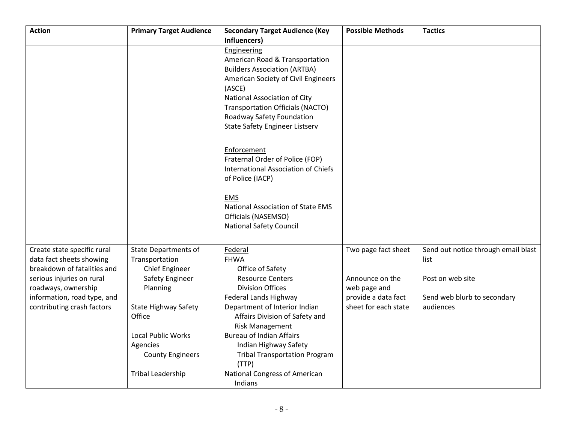| <b>Action</b>               | <b>Primary Target Audience</b> | <b>Secondary Target Audience (Key</b>   | <b>Possible Methods</b> | <b>Tactics</b>                      |
|-----------------------------|--------------------------------|-----------------------------------------|-------------------------|-------------------------------------|
|                             |                                | Influencers)                            |                         |                                     |
|                             |                                | Engineering                             |                         |                                     |
|                             |                                | American Road & Transportation          |                         |                                     |
|                             |                                | <b>Builders Association (ARTBA)</b>     |                         |                                     |
|                             |                                | American Society of Civil Engineers     |                         |                                     |
|                             |                                | (ASCE)                                  |                         |                                     |
|                             |                                | National Association of City            |                         |                                     |
|                             |                                | <b>Transportation Officials (NACTO)</b> |                         |                                     |
|                             |                                | Roadway Safety Foundation               |                         |                                     |
|                             |                                | <b>State Safety Engineer Listserv</b>   |                         |                                     |
|                             |                                | Enforcement                             |                         |                                     |
|                             |                                | Fraternal Order of Police (FOP)         |                         |                                     |
|                             |                                | International Association of Chiefs     |                         |                                     |
|                             |                                | of Police (IACP)                        |                         |                                     |
|                             |                                |                                         |                         |                                     |
|                             |                                | <b>EMS</b>                              |                         |                                     |
|                             |                                | National Association of State EMS       |                         |                                     |
|                             |                                | Officials (NASEMSO)                     |                         |                                     |
|                             |                                | <b>National Safety Council</b>          |                         |                                     |
|                             |                                |                                         |                         |                                     |
| Create state specific rural | <b>State Departments of</b>    | Federal                                 | Two page fact sheet     | Send out notice through email blast |
| data fact sheets showing    | Transportation                 | <b>FHWA</b>                             |                         | list                                |
| breakdown of fatalities and | Chief Engineer                 | Office of Safety                        |                         |                                     |
| serious injuries on rural   | Safety Engineer                | <b>Resource Centers</b>                 | Announce on the         | Post on web site                    |
| roadways, ownership         | Planning                       | <b>Division Offices</b>                 | web page and            |                                     |
| information, road type, and |                                | Federal Lands Highway                   | provide a data fact     | Send web blurb to secondary         |
| contributing crash factors  | <b>State Highway Safety</b>    | Department of Interior Indian           | sheet for each state    | audiences                           |
|                             | Office                         | Affairs Division of Safety and          |                         |                                     |
|                             |                                | <b>Risk Management</b>                  |                         |                                     |
|                             | <b>Local Public Works</b>      | <b>Bureau of Indian Affairs</b>         |                         |                                     |
|                             | Agencies                       | Indian Highway Safety                   |                         |                                     |
|                             | <b>County Engineers</b>        | <b>Tribal Transportation Program</b>    |                         |                                     |
|                             |                                | (TTP)                                   |                         |                                     |
|                             | <b>Tribal Leadership</b>       | National Congress of American           |                         |                                     |
|                             |                                | Indians                                 |                         |                                     |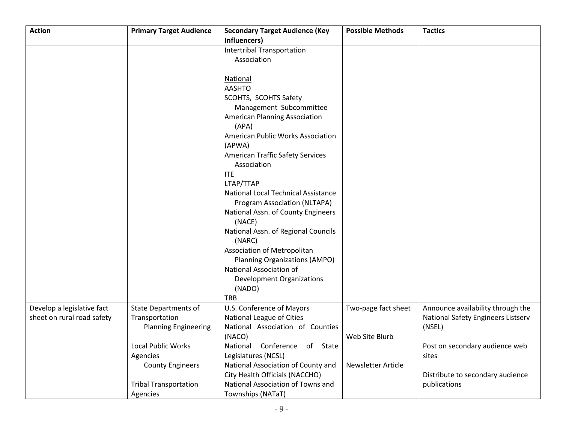| <b>Action</b>              | <b>Primary Target Audience</b> | <b>Secondary Target Audience (Key</b>    | <b>Possible Methods</b>   | <b>Tactics</b>                     |
|----------------------------|--------------------------------|------------------------------------------|---------------------------|------------------------------------|
|                            |                                | Influencers)                             |                           |                                    |
|                            |                                | Intertribal Transportation               |                           |                                    |
|                            |                                | Association                              |                           |                                    |
|                            |                                |                                          |                           |                                    |
|                            |                                | <b>National</b>                          |                           |                                    |
|                            |                                | <b>AASHTO</b>                            |                           |                                    |
|                            |                                | SCOHTS, SCOHTS Safety                    |                           |                                    |
|                            |                                | Management Subcommittee                  |                           |                                    |
|                            |                                | <b>American Planning Association</b>     |                           |                                    |
|                            |                                | (APA)                                    |                           |                                    |
|                            |                                | <b>American Public Works Association</b> |                           |                                    |
|                            |                                |                                          |                           |                                    |
|                            |                                | (APWA)                                   |                           |                                    |
|                            |                                | <b>American Traffic Safety Services</b>  |                           |                                    |
|                            |                                | Association                              |                           |                                    |
|                            |                                | <b>ITE</b>                               |                           |                                    |
|                            |                                | LTAP/TTAP                                |                           |                                    |
|                            |                                | National Local Technical Assistance      |                           |                                    |
|                            |                                | Program Association (NLTAPA)             |                           |                                    |
|                            |                                | National Assn. of County Engineers       |                           |                                    |
|                            |                                | (NACE)                                   |                           |                                    |
|                            |                                | National Assn. of Regional Councils      |                           |                                    |
|                            |                                | (NARC)                                   |                           |                                    |
|                            |                                | Association of Metropolitan              |                           |                                    |
|                            |                                | Planning Organizations (AMPO)            |                           |                                    |
|                            |                                | National Association of                  |                           |                                    |
|                            |                                | Development Organizations                |                           |                                    |
|                            |                                | (NADO)                                   |                           |                                    |
|                            |                                | <b>TRB</b>                               |                           |                                    |
| Develop a legislative fact | <b>State Departments of</b>    | U.S. Conference of Mayors                | Two-page fact sheet       | Announce availability through the  |
| sheet on rural road safety | Transportation                 | National League of Cities                |                           | National Safety Engineers Listserv |
|                            | <b>Planning Engineering</b>    | National Association of Counties         |                           | (NSEL)                             |
|                            |                                | (NACO)                                   | Web Site Blurb            |                                    |
|                            | Local Public Works             | National Conference of State             |                           | Post on secondary audience web     |
|                            | Agencies                       | Legislatures (NCSL)                      |                           | sites                              |
|                            | <b>County Engineers</b>        | National Association of County and       | <b>Newsletter Article</b> |                                    |
|                            |                                | City Health Officials (NACCHO)           |                           | Distribute to secondary audience   |
|                            | <b>Tribal Transportation</b>   | National Association of Towns and        |                           | publications                       |
|                            | Agencies                       | Townships (NATaT)                        |                           |                                    |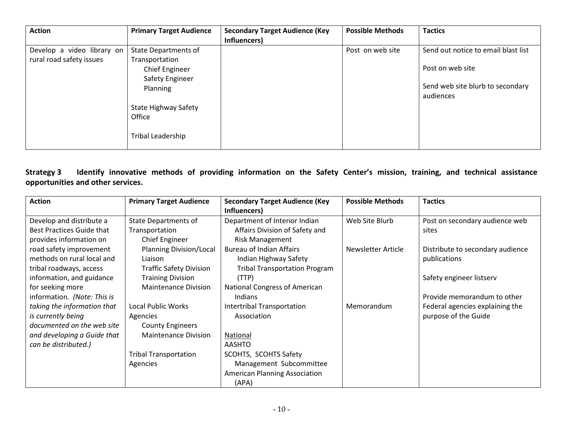| <b>Action</b>              | <b>Primary Target Audience</b> | <b>Secondary Target Audience (Key</b> | <b>Possible Methods</b> | <b>Tactics</b>                      |
|----------------------------|--------------------------------|---------------------------------------|-------------------------|-------------------------------------|
|                            |                                | Influencers)                          |                         |                                     |
| Develop a video library on | <b>State Departments of</b>    |                                       | Post on web site        | Send out notice to email blast list |
| rural road safety issues   | Transportation                 |                                       |                         |                                     |
|                            | Chief Engineer                 |                                       |                         | Post on web site                    |
|                            | Safety Engineer                |                                       |                         |                                     |
|                            | Planning                       |                                       |                         | Send web site blurb to secondary    |
|                            |                                |                                       |                         | audiences                           |
|                            | <b>State Highway Safety</b>    |                                       |                         |                                     |
|                            | Office                         |                                       |                         |                                     |
|                            |                                |                                       |                         |                                     |
|                            | Tribal Leadership              |                                       |                         |                                     |
|                            |                                |                                       |                         |                                     |

**Strategy 3 Identify innovative methods of providing information on the Safety Center's mission, training, and technical assistance opportunities and other services.** 

| <b>Action</b>               | <b>Primary Target Audience</b> | <b>Secondary Target Audience (Key</b> | <b>Possible Methods</b> | <b>Tactics</b>                   |
|-----------------------------|--------------------------------|---------------------------------------|-------------------------|----------------------------------|
|                             |                                | Influencers)                          |                         |                                  |
| Develop and distribute a    | <b>State Departments of</b>    | Department of Interior Indian         | Web Site Blurb          | Post on secondary audience web   |
| Best Practices Guide that   | Transportation                 | Affairs Division of Safety and        |                         | sites                            |
| provides information on     | <b>Chief Engineer</b>          | <b>Risk Management</b>                |                         |                                  |
| road safety improvement     | Planning Division/Local        | <b>Bureau of Indian Affairs</b>       | Newsletter Article      | Distribute to secondary audience |
| methods on rural local and  | Liaison                        | Indian Highway Safety                 |                         | publications                     |
| tribal roadways, access     | <b>Traffic Safety Division</b> | <b>Tribal Transportation Program</b>  |                         |                                  |
| information, and guidance   | <b>Training Division</b>       | (TTP)                                 |                         | Safety engineer listserv         |
| for seeking more            | <b>Maintenance Division</b>    | <b>National Congress of American</b>  |                         |                                  |
| information. (Note: This is |                                | Indians                               |                         | Provide memorandum to other      |
| taking the information that | Local Public Works             | Intertribal Transportation            | Memorandum              | Federal agencies explaining the  |
| is currently being          | Agencies                       | Association                           |                         | purpose of the Guide             |
| documented on the web site  | <b>County Engineers</b>        |                                       |                         |                                  |
| and developing a Guide that | <b>Maintenance Division</b>    | National                              |                         |                                  |
| can be distributed.)        |                                | <b>AASHTO</b>                         |                         |                                  |
|                             | <b>Tribal Transportation</b>   | <b>SCOHTS, SCOHTS Safety</b>          |                         |                                  |
|                             | Agencies                       | Management Subcommittee               |                         |                                  |
|                             |                                | <b>American Planning Association</b>  |                         |                                  |
|                             |                                | (APA)                                 |                         |                                  |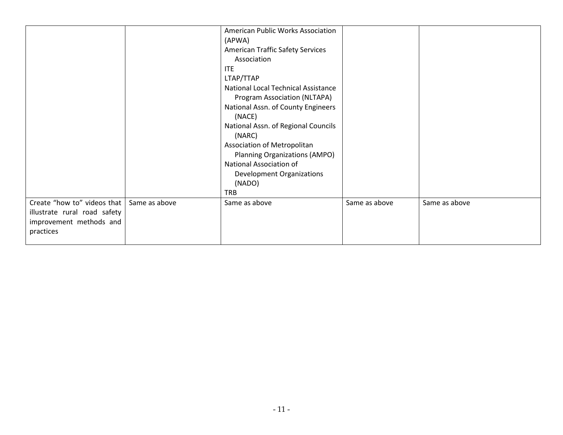|                                                                                                     |               | American Public Works Association<br>(APWA)<br><b>American Traffic Safety Services</b><br>Association<br><b>ITE</b><br>LTAP/TTAP<br>National Local Technical Assistance<br>Program Association (NLTAPA)<br>National Assn. of County Engineers<br>(NACE)<br>National Assn. of Regional Councils<br>(NARC)<br>Association of Metropolitan<br>Planning Organizations (AMPO)<br>National Association of<br><b>Development Organizations</b><br>(NADO)<br><b>TRB</b> |               |               |
|-----------------------------------------------------------------------------------------------------|---------------|-----------------------------------------------------------------------------------------------------------------------------------------------------------------------------------------------------------------------------------------------------------------------------------------------------------------------------------------------------------------------------------------------------------------------------------------------------------------|---------------|---------------|
| Create "how to" videos that<br>illustrate rural road safety<br>improvement methods and<br>practices | Same as above | Same as above                                                                                                                                                                                                                                                                                                                                                                                                                                                   | Same as above | Same as above |